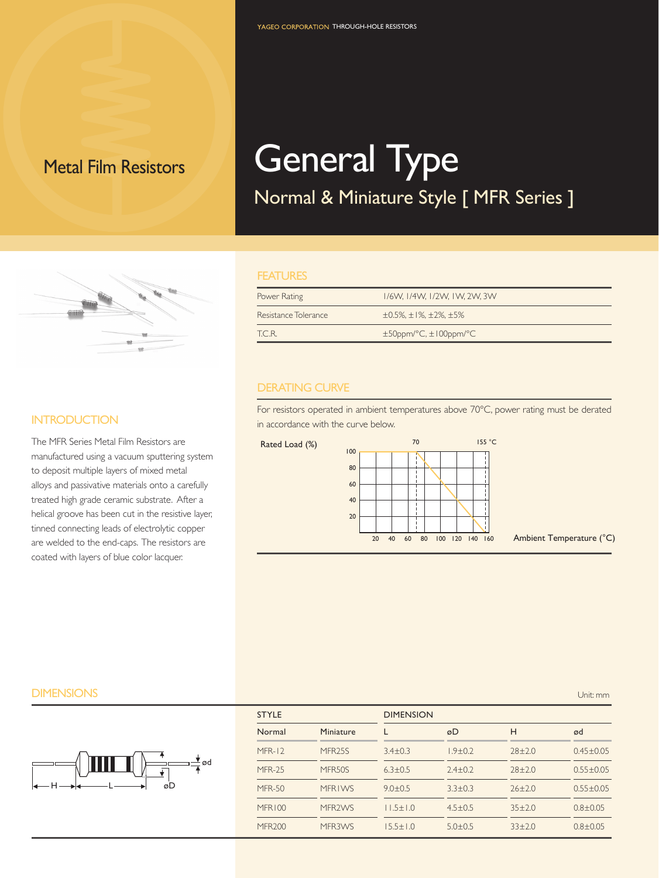# Metal Film Resistors **General Type**

## Normal & Miniature Style [ MFR Series ]

#### **FEATURES**

| Power Rating         | 1/6W, 1/4W, 1/2W, 1W, 2W, 3W                    |
|----------------------|-------------------------------------------------|
| Resistance Tolerance | $\pm 0.5\%$ , $\pm 1\%$ , $\pm 2\%$ , $\pm 5\%$ |
| TC R                 | $\pm$ 50ppm/°C, $\pm$ 100ppm/°C                 |

#### DERATING CURVE

For resistors operated in ambient temperatures above 70°C, power rating must be derated in accordance with the curve below.



20

40 60 80 100 120 140 160 Ambient Temperature (°C)



| <b>DIMENSIONS</b>    |               |                     |                  |               |              | Unit: mm        |
|----------------------|---------------|---------------------|------------------|---------------|--------------|-----------------|
|                      | <b>STYLE</b>  |                     | <b>DIMENSION</b> |               |              |                 |
|                      | Normal        | Miniature           |                  | øD            | н            | ød              |
|                      | $MFR-12$      | MFR <sub>25</sub> S | $3.4 \pm 0.3$    | $1.9 \pm 0.2$ | $28 \pm 2.0$ | $0.45 \pm 0.05$ |
| ød                   | MFR-25        | MFR50S              | $6.3 \pm 0.5$    | $2.4 \pm 0.2$ | $28 \pm 2.0$ | $0.55 \pm 0.05$ |
| $\leftarrow$ H<br>øD | <b>MFR-50</b> | <b>MFRIWS</b>       | $9.0 \pm 0.5$    | $3.3 \pm 0.3$ | $26 \pm 2.0$ | $0.55 \pm 0.05$ |
|                      | MFR100        | MFR2WS              | $11.5 \pm 1.0$   | $4.5 \pm 0.5$ | $35 \pm 2.0$ | $0.8 \pm 0.05$  |
|                      | <b>MFR200</b> | MFR3WS              | $15.5 \pm 1.0$   | $5.0 \pm 0.5$ | $33 \pm 2.0$ | $0.8 \pm 0.05$  |

### **INTRODUCTION**

The MFR Series Metal Film Resistors are manufactured using a vacuum sputtering system to deposit multiple layers of mixed metal alloys and passivative materials onto a carefully treated high grade ceramic substrate. After a helical groove has been cut in the resistive layer, tinned connecting leads of electrolytic copper are welded to the end-caps. The resistors are coated with layers of blue color lacquer.